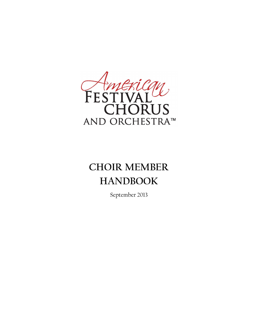

# **CHOIR MEMBER HANDBOOK**

September 2013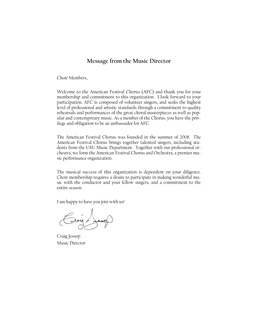# **Message from the Music Director**

Choir Members,

Welcome to the American Festival Chorus (AFC) and thank you for your membership and commitment to this organization. I look forward to your participation. AFC is composed of volunteer singers, and seeks the highest level of professional and artistic standards through a commitment to quality rehearsals and performances of the great choral masterpieces as well as popular and contemporary music. As a member of the Chorus, you have the privilege and obligation to be an ambassador for AFC.

The American Festival Chorus was founded in the summer of 2008. The American Festival Chorus brings together talented singers, including students from the USU Music Department. Together with our professional orchestra, we form the American Festival Chorus and Orchestra, a premier music performance organization.

The musical success of this organization is dependent on your diligence. Choir membership requires a desire to participate in making wonderful music with the conductor and your fellow singers, and a commitment to the entire season.

I am happy to have you join with us!

 $\rightarrow$  and  $\rightarrow$ 

Craig Jessop Music Director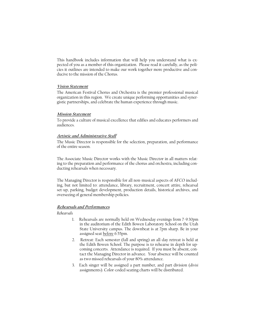This handbook includes information that will help you understand what is expected of you as a member of this organization. Please read it carefully, as the policies it outlines are intended to make our work together more productive and conducive to the mission of the Chorus.

## **Vision Statement**

The American Festival Chorus and Orchestra is the premier professional musical organization in this region. We create unique performing opportunities and synergistic partnerships, and celebrate the human experience through music.

#### **Mission Statement**

To provide a culture of musical excellence that edifies and educates performers and audiences.

#### **Artistic and Administrative Staff**

The Music Director is responsible for the selection, preparation, and performance of the entire season.

The Associate Music Director works with the Music Director in all matters relating to the preparation and performance of the chorus and orchestra, including conducting rehearsals when necessary.

The Managing Director is responsible for all non-musical aspects of AFCO including, but not limited to: attendance, library, recruitment, concert attire, rehearsal set-up, parking, budget development, production details, historical archives, and overseeing of general membership policies.

#### **Rehearsals and Performances**

*Rehearsals*

- 1. Rehearsals are normally held on Wednesday evenings from 7-9:30pm in the auditorium of the Edith Bowen Laboratory School on the Utah State University campus. The downbeat is at 7pm sharp. Be in your assigned seat before 6:55pm.
- 2. Retreat: Each semester (fall and spring) an all-day retreat is held at the Edith Bowen School. The purpose is to rehearse in depth for upcoming concerts. Attendance is required. If you must be absent, contact the Managing Director in advance. Your absence will be counted as two missed rehearsals of your 80% attendance.
- 3. Each singer will be assigned a part number, and part division (*divisi* assignments). Color-coded seating charts will be distributed.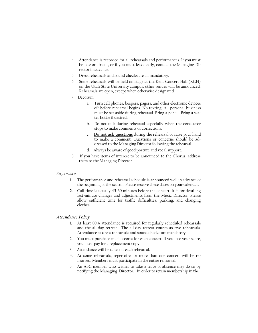- 4. Attendance is recorded for all rehearsals and performances. If you must be late or absent, or if you must leave early, contact the Managing Director in advance.
- 5. Dress rehearsals and sound checks are all mandatory.
- 6, Some rehearsals will be held on stage at the Kent Concert Hall (KCH) on the Utah State University campus; other venues will be announced. Rehearsals are open, except when otherwise designated.
- 7. Decorum:
	- a. Turn cell phones, beepers, pagers, and other electronic devices off before rehearsal begins. No texting. All personal business must be set aside during rehearsal. Bring a pencil. Bring a water bottle if desired.
	- b. Do not talk during rehearsal especially when the conductor stops to make comments or corrections.
	- c. **Do not ask questions** during the rehearsal or raise your hand to make a comment. Questions or concerns should be addressed to the Managing Director following the rehearsal.
	- d. Always be aware of good posture and vocal support.
- 8. If you have items of interest to be announced to the Chorus, address them to the Managing Director.

#### *Performances*

- 1. The performance and rehearsal schedule is announced well in advance of the beginning of the season. Please reserve these dates on your calendar.
- **2.** Call time is usually 45-60 minutes before the concert. It is for detailing last-minute changes and adjustments from the Music Director. Please allow sufficient time for traffic difficulties, parking, and changing clothes.

## **Attendance Policy**

- 1. At least 80% attendance is required for regularly scheduled rehearsals and the all-day retreat. The all-day retreat counts as two rehearsals. Attendance at dress rehearsals and sound checks are mandatory.
- 2. You must purchase music scores for each concert. If you lose your score, you must pay for a replacement copy.
- 3. Attendance will be taken at each rehearsal.
- 4. At some rehearsals, repertoire for more than one concert will be rehearsed. Members must participate in the entire rehearsal.
- 5. An AFC member who wishes to take a leave of absence may do so by notifying the Managing Director. In order to retain membership in the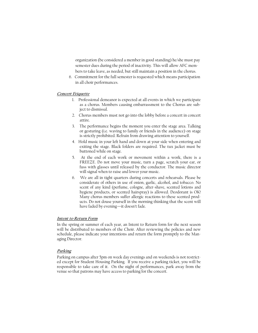organization (be considered a member in good standing) he/she must pay semester dues during the period of inactivity. This will allow AFC mem bers to take leave, as needed, but still maintain a position in the chorus.

 6. Commitment for the full semester is requested which means participation in all choir performances.

#### **Concert Etiquette**

- 1. Professional demeanor is expected at all events in which we participate as a chorus. Members causing embarrassment to the Chorus are subject to dismissal.
- 2. Chorus members must not go into the lobby before a concert in concert attire.
- 3. The performance begins the moment you enter the stage area. Talking or gesturing (i.e. waving to family or friends in the audience) on stage is strictly prohibited. Refrain from drawing attention to yourself.
- 4. Hold music in your left hand and down at your side when entering and exiting the stage. Black folders are required. The tux jacket must be buttoned while on stage.
- 5. At the end of each work or movement within a work, there is a FREEZE. Do not move your music, turn a page, scratch your ear, or fuss with glasses until released by the conductor. The music director will signal when to raise and lower your music.
- 6. We are all in tight quarters during concerts and rehearsals. Please be considerate of others in use of onion, garlic, alcohol, and tobacco. No scent of any kind (perfume, cologne, after-shave, scented lotions and hygiene products, or scented hairspray) is allowed. Deodorant is OK! Many chorus members suffer allergic reactions to these scented products. Do not douse yourself in the morning thinking that the scent will have faded by evening—it doesn't fade.

#### **Intent to Return Form**

In the spring or summer of each year, an Intent to Return form for the next season will be distributed to members of the Choir. After reviewing the policies and new schedule, please indicate your intentions and return the form promptly to the Managing Director.

## **Parking**

Parking on campus after 5pm on week day evenings and on weekends is not restricted except for Student Housing Parking. If you receive a parking ticket, you will be responsible to take care of it. On the night of performances, park away from the venue so that patrons may have access to parking for the concert.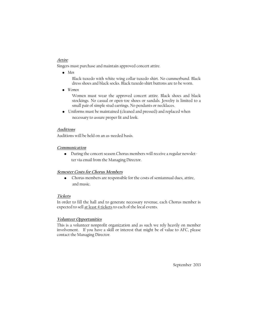## **Attire**

Singers must purchase and maintain approved concert attire.

 *• Men*

Black tuxedo with white wing collar tuxedo shirt. No cummerbund. Black dress shoes and black socks. Black tuxedo shirt buttons are to be worn.

 *• Women*

Women must wear the approved concert attire. Black shoes and black stockings. No casual or open-toe shoes or sandals. Jewelry is limited to a small pair of simple stud earrings. No pendants or necklaces.

 • Uniforms must be maintained (cleaned and pressed) and replaced when necessary to assure proper fit and look.

## **Auditions**

Auditions will be held on an as-needed basis.

## **Communication**

• During the concert season Chorus members will receive a regular newsletter via email from the Managing Director.

## **Semester Costs for Chorus Members**

 • Chorus members are responsible for the costs of semiannual dues, attire, and music.

## **Tickets**

In order to fill the hall and to generate necessary revenue, each Chorus member is expected to sell at least 4 tickets to each of the local events.

## **Volunteer Opportunities**

This is a volunteer nonprofit organization and as such we rely heavily on member involvement. If you have a skill or interest that might be of value to AFC, please contact the Managing Director.

September 2013